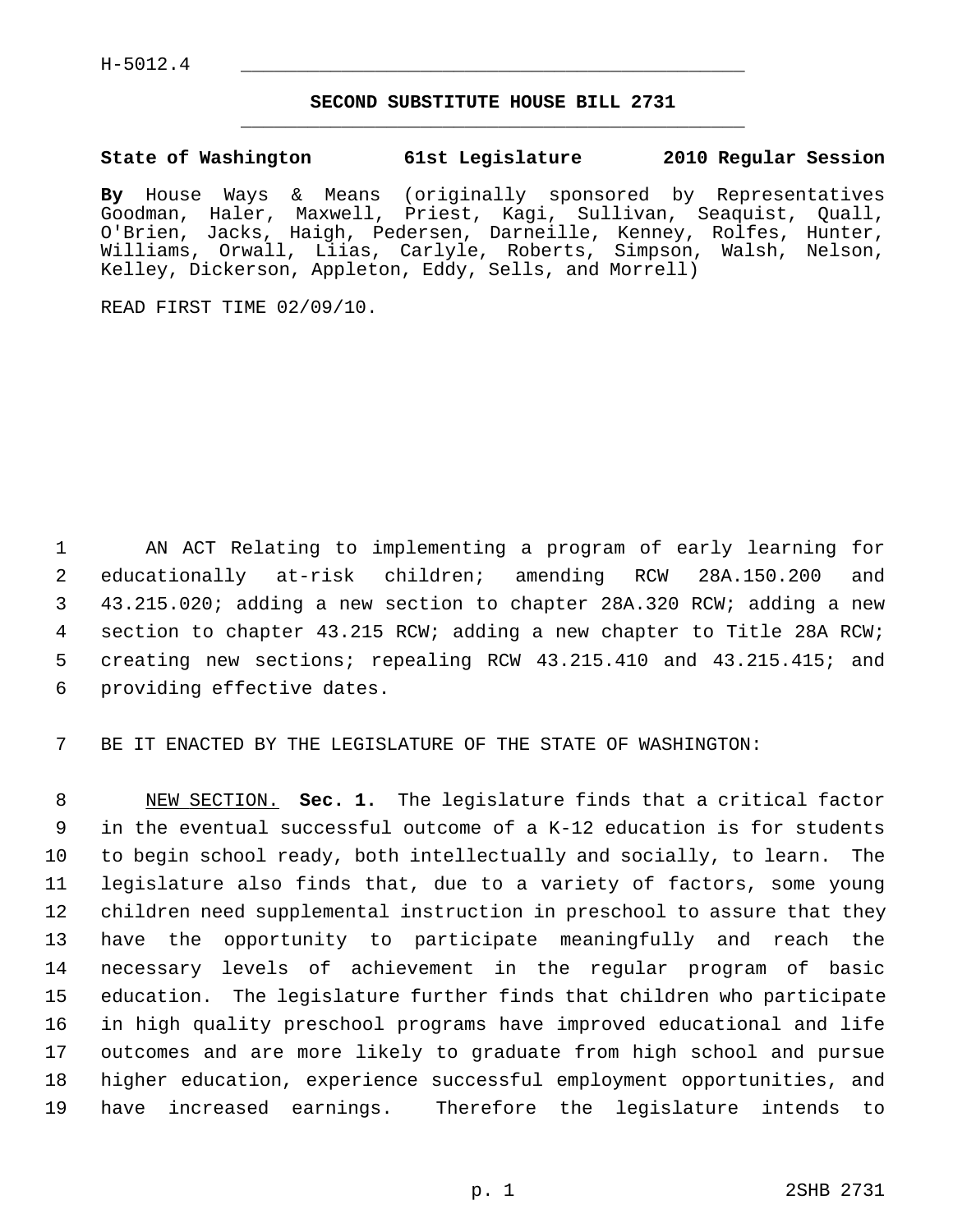## **SECOND SUBSTITUTE HOUSE BILL 2731** \_\_\_\_\_\_\_\_\_\_\_\_\_\_\_\_\_\_\_\_\_\_\_\_\_\_\_\_\_\_\_\_\_\_\_\_\_\_\_\_\_\_\_\_\_

## **State of Washington 61st Legislature 2010 Regular Session**

**By** House Ways & Means (originally sponsored by Representatives Goodman, Haler, Maxwell, Priest, Kagi, Sullivan, Seaquist, Quall, O'Brien, Jacks, Haigh, Pedersen, Darneille, Kenney, Rolfes, Hunter, Williams, Orwall, Liias, Carlyle, Roberts, Simpson, Walsh, Nelson, Kelley, Dickerson, Appleton, Eddy, Sells, and Morrell)

READ FIRST TIME 02/09/10.

 1 AN ACT Relating to implementing a program of early learning for 2 educationally at-risk children; amending RCW 28A.150.200 and 3 43.215.020; adding a new section to chapter 28A.320 RCW; adding a new 4 section to chapter 43.215 RCW; adding a new chapter to Title 28A RCW; 5 creating new sections; repealing RCW 43.215.410 and 43.215.415; and 6 providing effective dates.

7 BE IT ENACTED BY THE LEGISLATURE OF THE STATE OF WASHINGTON:

 8 NEW SECTION. **Sec. 1.** The legislature finds that a critical factor 9 in the eventual successful outcome of a K-12 education is for students 10 to begin school ready, both intellectually and socially, to learn. The 11 legislature also finds that, due to a variety of factors, some young 12 children need supplemental instruction in preschool to assure that they 13 have the opportunity to participate meaningfully and reach the 14 necessary levels of achievement in the regular program of basic 15 education. The legislature further finds that children who participate 16 in high quality preschool programs have improved educational and life 17 outcomes and are more likely to graduate from high school and pursue 18 higher education, experience successful employment opportunities, and 19 have increased earnings. Therefore the legislature intends to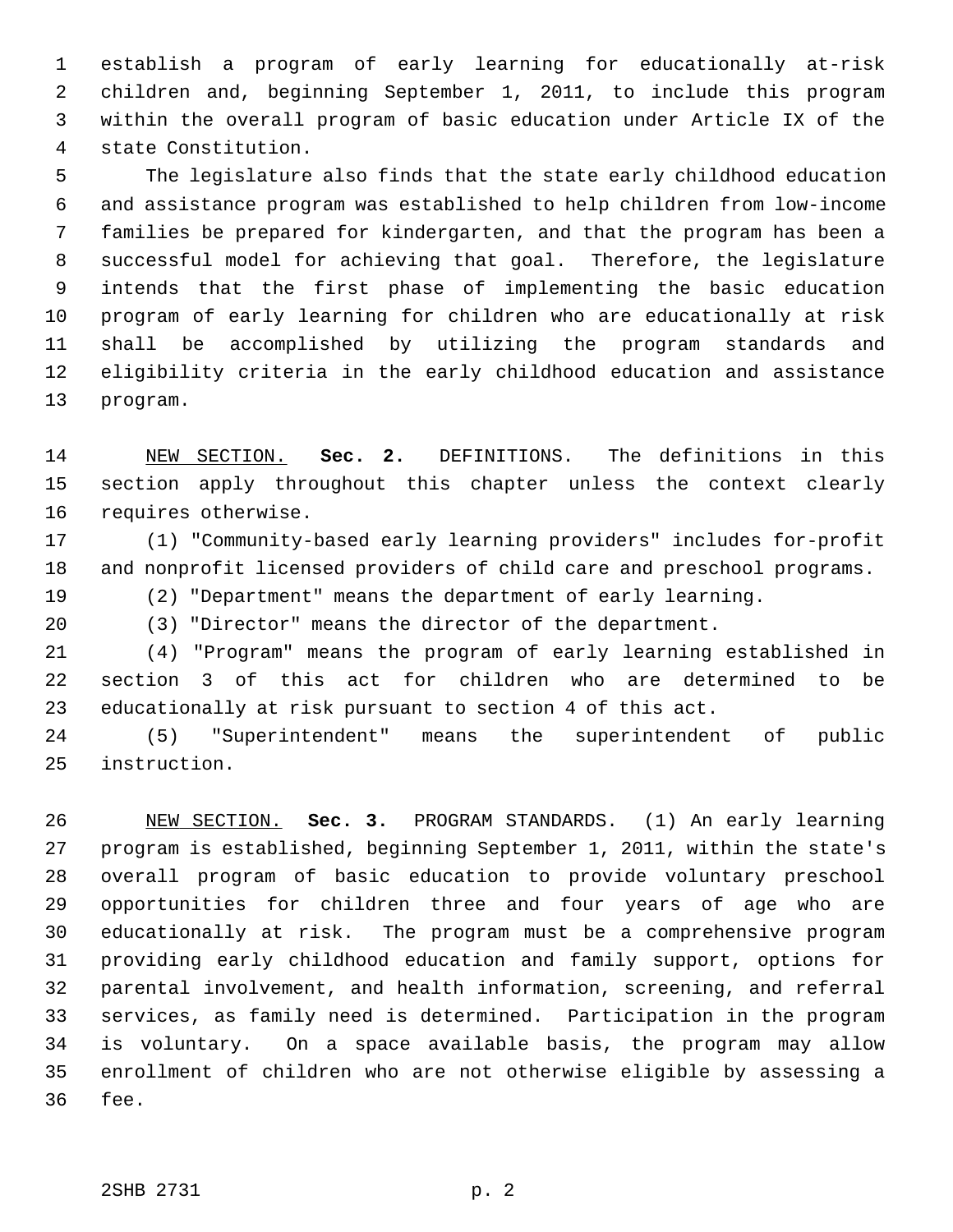1 establish a program of early learning for educationally at-risk 2 children and, beginning September 1, 2011, to include this program 3 within the overall program of basic education under Article IX of the 4 state Constitution.

 5 The legislature also finds that the state early childhood education 6 and assistance program was established to help children from low-income 7 families be prepared for kindergarten, and that the program has been a 8 successful model for achieving that goal. Therefore, the legislature 9 intends that the first phase of implementing the basic education 10 program of early learning for children who are educationally at risk 11 shall be accomplished by utilizing the program standards and 12 eligibility criteria in the early childhood education and assistance 13 program.

14 NEW SECTION. **Sec. 2.** DEFINITIONS. The definitions in this 15 section apply throughout this chapter unless the context clearly 16 requires otherwise.

17 (1) "Community-based early learning providers" includes for-profit 18 and nonprofit licensed providers of child care and preschool programs.

19 (2) "Department" means the department of early learning.

20 (3) "Director" means the director of the department.

21 (4) "Program" means the program of early learning established in 22 section 3 of this act for children who are determined to be 23 educationally at risk pursuant to section 4 of this act.

24 (5) "Superintendent" means the superintendent of public 25 instruction.

26 NEW SECTION. **Sec. 3.** PROGRAM STANDARDS. (1) An early learning 27 program is established, beginning September 1, 2011, within the state's 28 overall program of basic education to provide voluntary preschool 29 opportunities for children three and four years of age who are 30 educationally at risk. The program must be a comprehensive program 31 providing early childhood education and family support, options for 32 parental involvement, and health information, screening, and referral 33 services, as family need is determined. Participation in the program 34 is voluntary. On a space available basis, the program may allow 35 enrollment of children who are not otherwise eligible by assessing a 36 fee.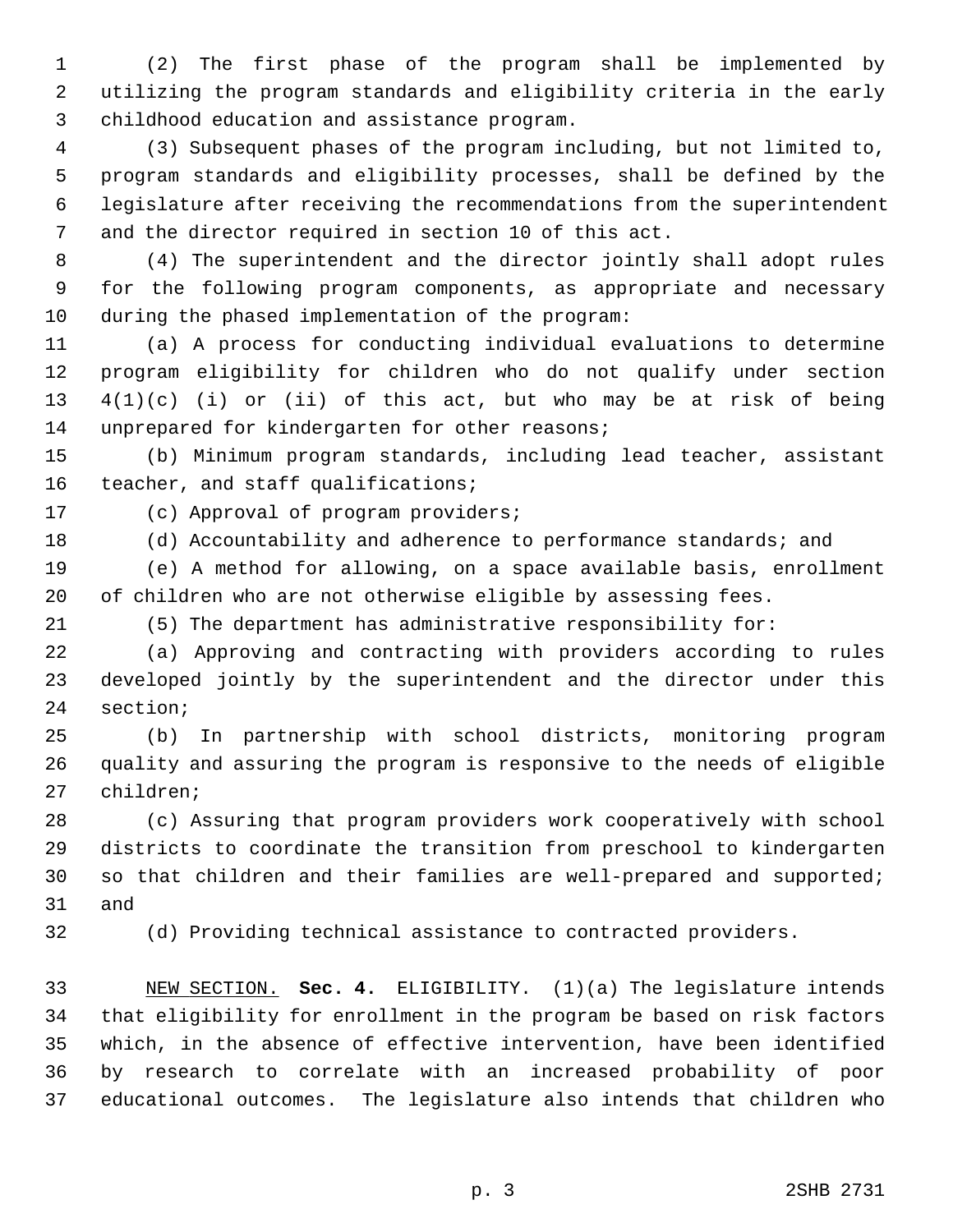1 (2) The first phase of the program shall be implemented by 2 utilizing the program standards and eligibility criteria in the early 3 childhood education and assistance program.

 4 (3) Subsequent phases of the program including, but not limited to, 5 program standards and eligibility processes, shall be defined by the 6 legislature after receiving the recommendations from the superintendent 7 and the director required in section 10 of this act.

 8 (4) The superintendent and the director jointly shall adopt rules 9 for the following program components, as appropriate and necessary 10 during the phased implementation of the program:

11 (a) A process for conducting individual evaluations to determine 12 program eligibility for children who do not qualify under section 13  $4(1)(c)$  (i) or (ii) of this act, but who may be at risk of being 14 unprepared for kindergarten for other reasons;

15 (b) Minimum program standards, including lead teacher, assistant 16 teacher, and staff qualifications;

17 (c) Approval of program providers;

18 (d) Accountability and adherence to performance standards; and

19 (e) A method for allowing, on a space available basis, enrollment 20 of children who are not otherwise eligible by assessing fees.

21 (5) The department has administrative responsibility for:

22 (a) Approving and contracting with providers according to rules 23 developed jointly by the superintendent and the director under this 24 section;

25 (b) In partnership with school districts, monitoring program 26 quality and assuring the program is responsive to the needs of eligible 27 children;

28 (c) Assuring that program providers work cooperatively with school 29 districts to coordinate the transition from preschool to kindergarten 30 so that children and their families are well-prepared and supported; 31 and

32 (d) Providing technical assistance to contracted providers.

33 NEW SECTION. **Sec. 4.** ELIGIBILITY. (1)(a) The legislature intends 34 that eligibility for enrollment in the program be based on risk factors 35 which, in the absence of effective intervention, have been identified 36 by research to correlate with an increased probability of poor 37 educational outcomes. The legislature also intends that children who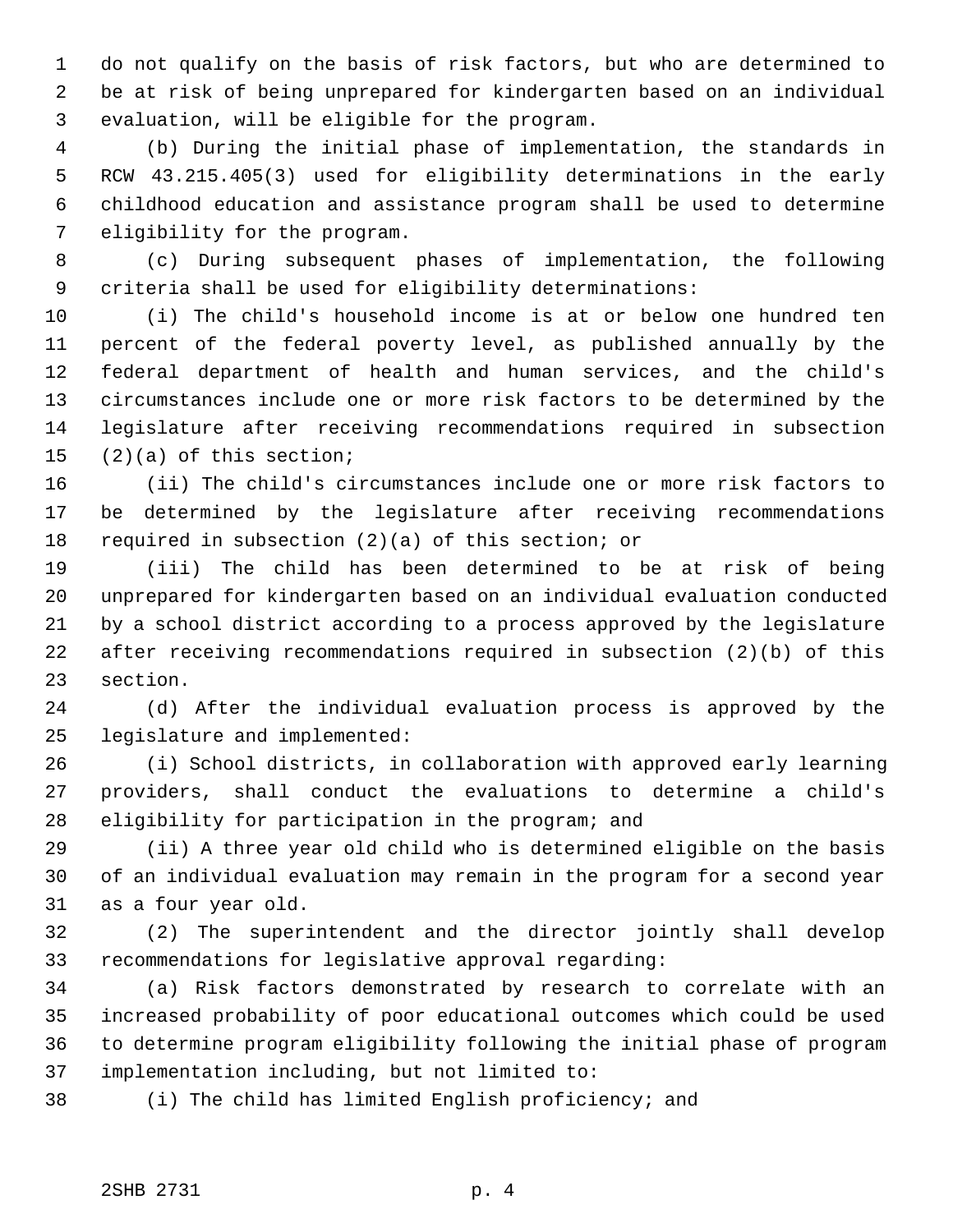1 do not qualify on the basis of risk factors, but who are determined to 2 be at risk of being unprepared for kindergarten based on an individual 3 evaluation, will be eligible for the program.

 4 (b) During the initial phase of implementation, the standards in 5 RCW 43.215.405(3) used for eligibility determinations in the early 6 childhood education and assistance program shall be used to determine 7 eligibility for the program.

 8 (c) During subsequent phases of implementation, the following 9 criteria shall be used for eligibility determinations:

10 (i) The child's household income is at or below one hundred ten 11 percent of the federal poverty level, as published annually by the 12 federal department of health and human services, and the child's 13 circumstances include one or more risk factors to be determined by the 14 legislature after receiving recommendations required in subsection 15 (2)(a) of this section;

16 (ii) The child's circumstances include one or more risk factors to 17 be determined by the legislature after receiving recommendations 18 required in subsection (2)(a) of this section; or

19 (iii) The child has been determined to be at risk of being 20 unprepared for kindergarten based on an individual evaluation conducted 21 by a school district according to a process approved by the legislature 22 after receiving recommendations required in subsection (2)(b) of this 23 section.

24 (d) After the individual evaluation process is approved by the 25 legislature and implemented:

26 (i) School districts, in collaboration with approved early learning 27 providers, shall conduct the evaluations to determine a child's 28 eligibility for participation in the program; and

29 (ii) A three year old child who is determined eligible on the basis 30 of an individual evaluation may remain in the program for a second year 31 as a four year old.

32 (2) The superintendent and the director jointly shall develop 33 recommendations for legislative approval regarding:

34 (a) Risk factors demonstrated by research to correlate with an 35 increased probability of poor educational outcomes which could be used 36 to determine program eligibility following the initial phase of program 37 implementation including, but not limited to:

38 (i) The child has limited English proficiency; and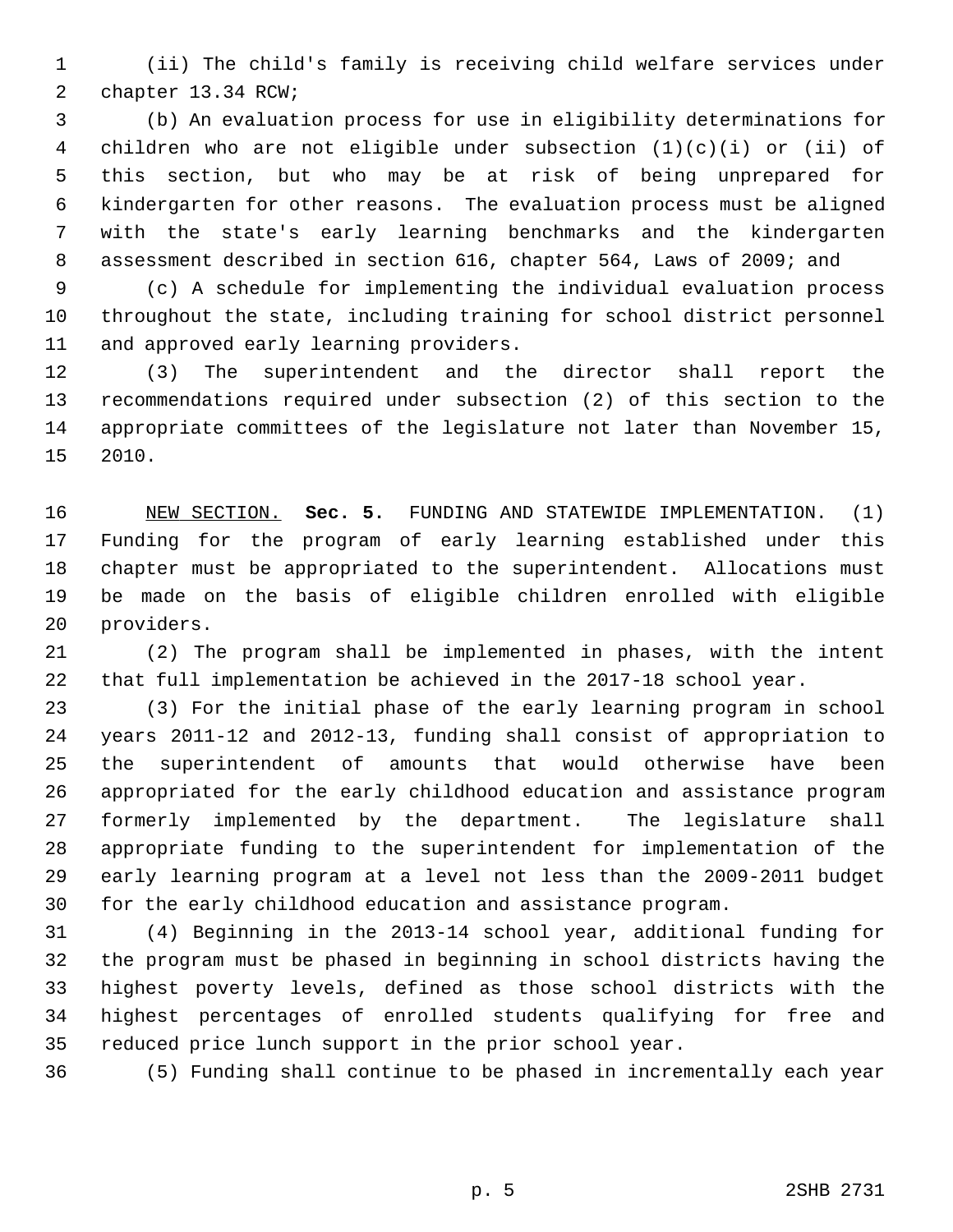1 (ii) The child's family is receiving child welfare services under 2 chapter 13.34 RCW;

 3 (b) An evaluation process for use in eligibility determinations for 4 children who are not eligible under subsection (1)(c)(i) or (ii) of 5 this section, but who may be at risk of being unprepared for 6 kindergarten for other reasons. The evaluation process must be aligned 7 with the state's early learning benchmarks and the kindergarten 8 assessment described in section 616, chapter 564, Laws of 2009; and

 9 (c) A schedule for implementing the individual evaluation process 10 throughout the state, including training for school district personnel 11 and approved early learning providers.

12 (3) The superintendent and the director shall report the 13 recommendations required under subsection (2) of this section to the 14 appropriate committees of the legislature not later than November 15, 15 2010.

16 NEW SECTION. **Sec. 5.** FUNDING AND STATEWIDE IMPLEMENTATION. (1) 17 Funding for the program of early learning established under this 18 chapter must be appropriated to the superintendent. Allocations must 19 be made on the basis of eligible children enrolled with eligible 20 providers.

21 (2) The program shall be implemented in phases, with the intent 22 that full implementation be achieved in the 2017-18 school year.

23 (3) For the initial phase of the early learning program in school 24 years 2011-12 and 2012-13, funding shall consist of appropriation to 25 the superintendent of amounts that would otherwise have been 26 appropriated for the early childhood education and assistance program 27 formerly implemented by the department. The legislature shall 28 appropriate funding to the superintendent for implementation of the 29 early learning program at a level not less than the 2009-2011 budget 30 for the early childhood education and assistance program.

31 (4) Beginning in the 2013-14 school year, additional funding for 32 the program must be phased in beginning in school districts having the 33 highest poverty levels, defined as those school districts with the 34 highest percentages of enrolled students qualifying for free and 35 reduced price lunch support in the prior school year.

36 (5) Funding shall continue to be phased in incrementally each year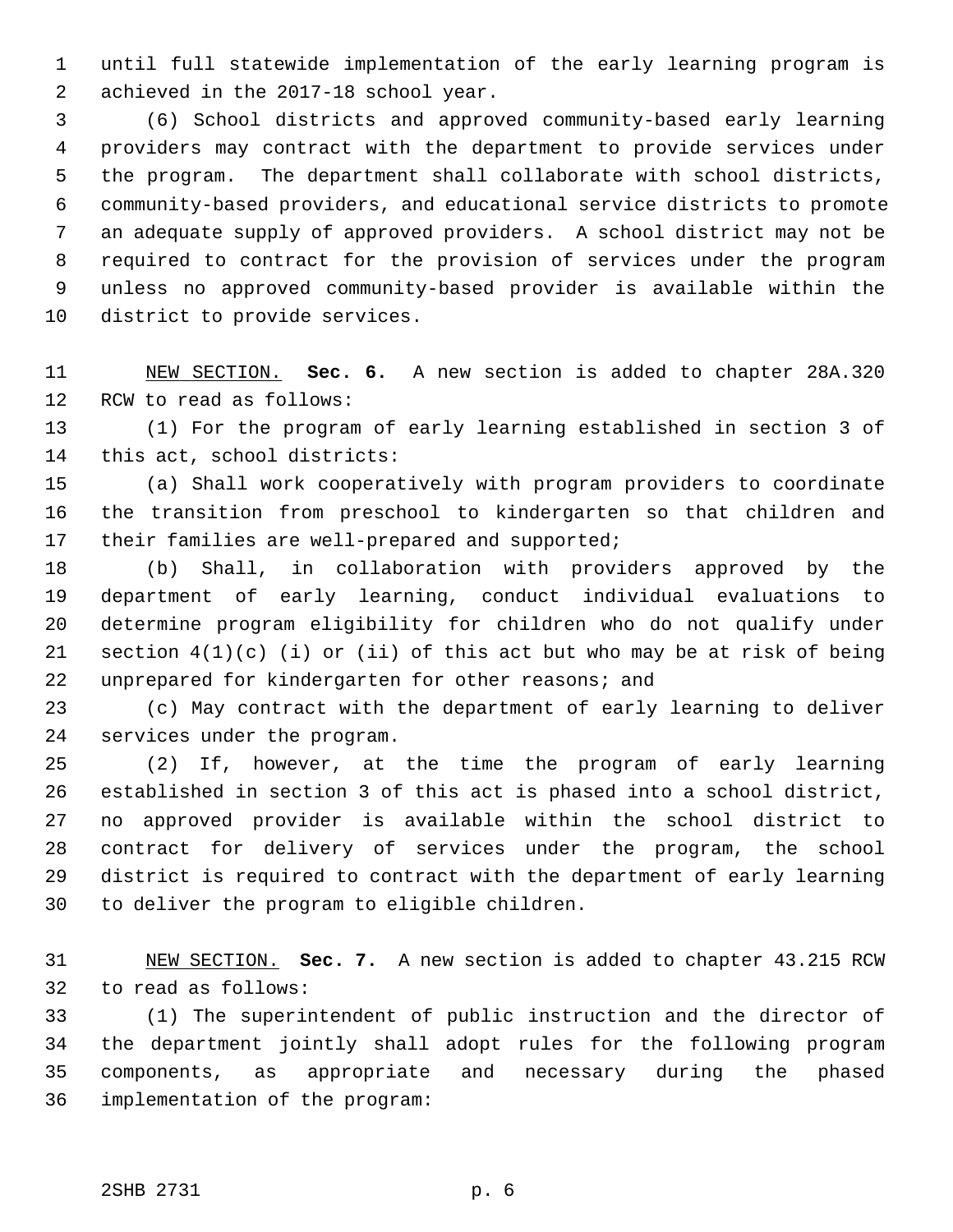1 until full statewide implementation of the early learning program is 2 achieved in the 2017-18 school year.

 3 (6) School districts and approved community-based early learning 4 providers may contract with the department to provide services under 5 the program. The department shall collaborate with school districts, 6 community-based providers, and educational service districts to promote 7 an adequate supply of approved providers. A school district may not be 8 required to contract for the provision of services under the program 9 unless no approved community-based provider is available within the 10 district to provide services.

11 NEW SECTION. **Sec. 6.** A new section is added to chapter 28A.320 12 RCW to read as follows:

13 (1) For the program of early learning established in section 3 of 14 this act, school districts:

15 (a) Shall work cooperatively with program providers to coordinate 16 the transition from preschool to kindergarten so that children and 17 their families are well-prepared and supported;

18 (b) Shall, in collaboration with providers approved by the 19 department of early learning, conduct individual evaluations to 20 determine program eligibility for children who do not qualify under 21 section  $4(1)(c)$  (i) or (ii) of this act but who may be at risk of being 22 unprepared for kindergarten for other reasons; and

23 (c) May contract with the department of early learning to deliver 24 services under the program.

25 (2) If, however, at the time the program of early learning 26 established in section 3 of this act is phased into a school district, 27 no approved provider is available within the school district to 28 contract for delivery of services under the program, the school 29 district is required to contract with the department of early learning 30 to deliver the program to eligible children.

31 NEW SECTION. **Sec. 7.** A new section is added to chapter 43.215 RCW 32 to read as follows:

33 (1) The superintendent of public instruction and the director of 34 the department jointly shall adopt rules for the following program 35 components, as appropriate and necessary during the phased 36 implementation of the program: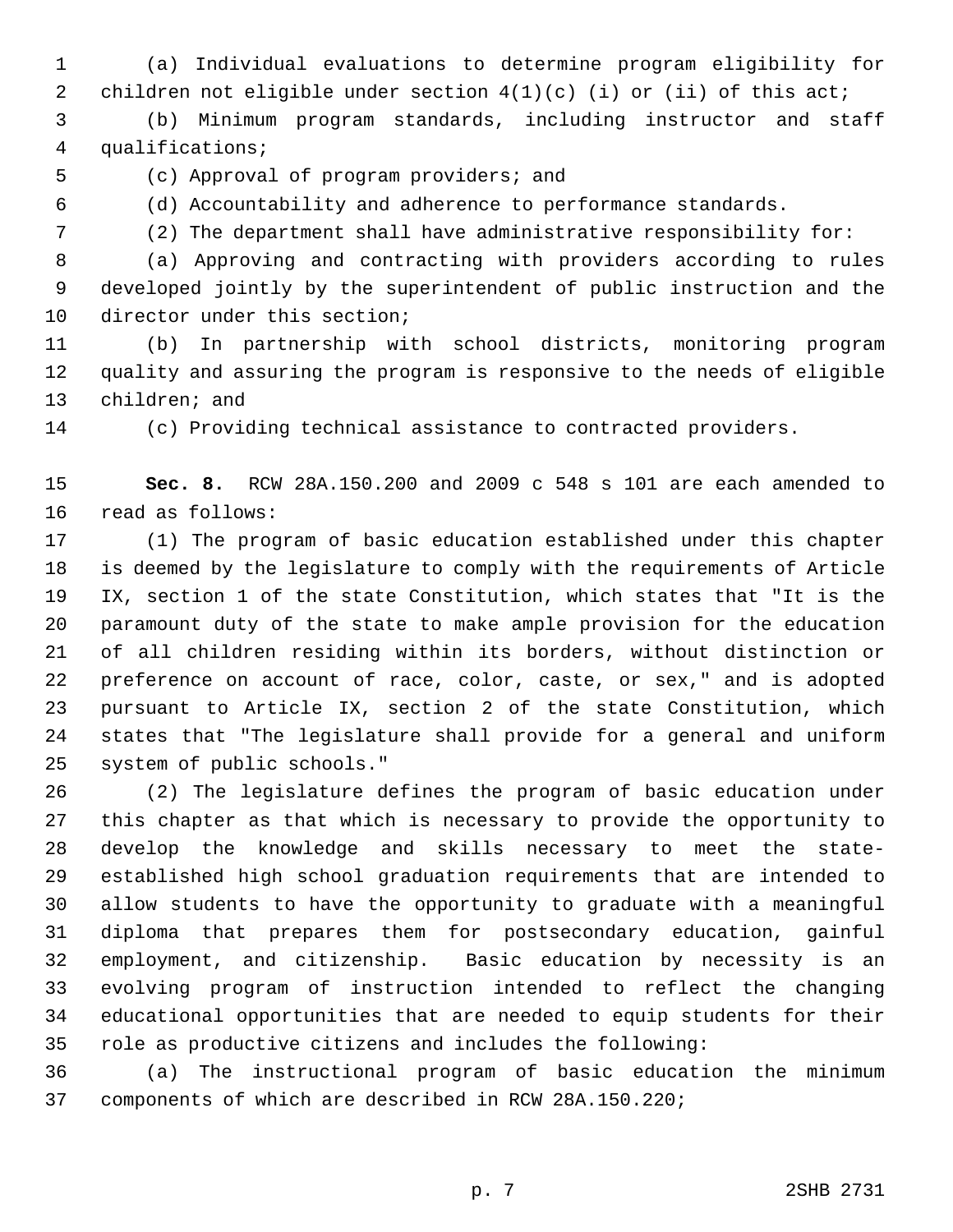1 (a) Individual evaluations to determine program eligibility for 2 children not eligible under section  $4(1)(c)$  (i) or (ii) of this act;

 3 (b) Minimum program standards, including instructor and staff 4 qualifications;

5 (c) Approval of program providers; and

6 (d) Accountability and adherence to performance standards.

7 (2) The department shall have administrative responsibility for:

 8 (a) Approving and contracting with providers according to rules 9 developed jointly by the superintendent of public instruction and the 10 director under this section;

11 (b) In partnership with school districts, monitoring program 12 quality and assuring the program is responsive to the needs of eligible 13 children; and

14 (c) Providing technical assistance to contracted providers.

15 **Sec. 8.** RCW 28A.150.200 and 2009 c 548 s 101 are each amended to 16 read as follows:

17 (1) The program of basic education established under this chapter 18 is deemed by the legislature to comply with the requirements of Article 19 IX, section 1 of the state Constitution, which states that "It is the 20 paramount duty of the state to make ample provision for the education 21 of all children residing within its borders, without distinction or 22 preference on account of race, color, caste, or sex," and is adopted 23 pursuant to Article IX, section 2 of the state Constitution, which 24 states that "The legislature shall provide for a general and uniform 25 system of public schools."

26 (2) The legislature defines the program of basic education under 27 this chapter as that which is necessary to provide the opportunity to 28 develop the knowledge and skills necessary to meet the state-29 established high school graduation requirements that are intended to 30 allow students to have the opportunity to graduate with a meaningful 31 diploma that prepares them for postsecondary education, gainful 32 employment, and citizenship. Basic education by necessity is an 33 evolving program of instruction intended to reflect the changing 34 educational opportunities that are needed to equip students for their 35 role as productive citizens and includes the following:

36 (a) The instructional program of basic education the minimum 37 components of which are described in RCW 28A.150.220;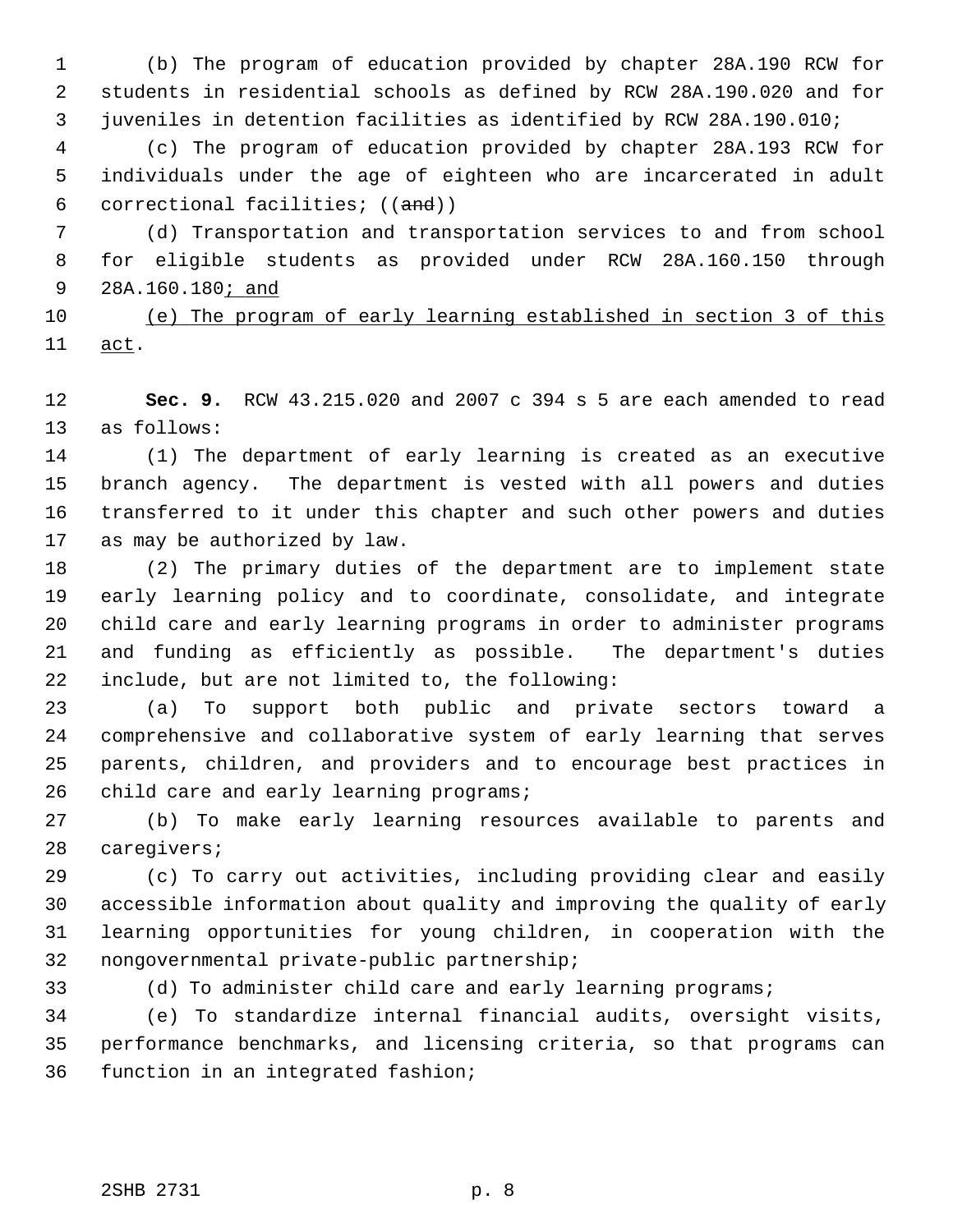1 (b) The program of education provided by chapter 28A.190 RCW for 2 students in residential schools as defined by RCW 28A.190.020 and for 3 juveniles in detention facilities as identified by RCW 28A.190.010;

 4 (c) The program of education provided by chapter 28A.193 RCW for 5 individuals under the age of eighteen who are incarcerated in adult 6 correctional facilities; ((and))

 7 (d) Transportation and transportation services to and from school 8 for eligible students as provided under RCW 28A.160.150 through 9 28A.160.180; and

10 (e) The program of early learning established in section 3 of this 11 act.

12 **Sec. 9.** RCW 43.215.020 and 2007 c 394 s 5 are each amended to read 13 as follows:

14 (1) The department of early learning is created as an executive 15 branch agency. The department is vested with all powers and duties 16 transferred to it under this chapter and such other powers and duties 17 as may be authorized by law.

18 (2) The primary duties of the department are to implement state 19 early learning policy and to coordinate, consolidate, and integrate 20 child care and early learning programs in order to administer programs 21 and funding as efficiently as possible. The department's duties 22 include, but are not limited to, the following:

23 (a) To support both public and private sectors toward a 24 comprehensive and collaborative system of early learning that serves 25 parents, children, and providers and to encourage best practices in 26 child care and early learning programs;

27 (b) To make early learning resources available to parents and 28 caregivers;

29 (c) To carry out activities, including providing clear and easily 30 accessible information about quality and improving the quality of early 31 learning opportunities for young children, in cooperation with the 32 nongovernmental private-public partnership;

33 (d) To administer child care and early learning programs;

34 (e) To standardize internal financial audits, oversight visits, 35 performance benchmarks, and licensing criteria, so that programs can 36 function in an integrated fashion;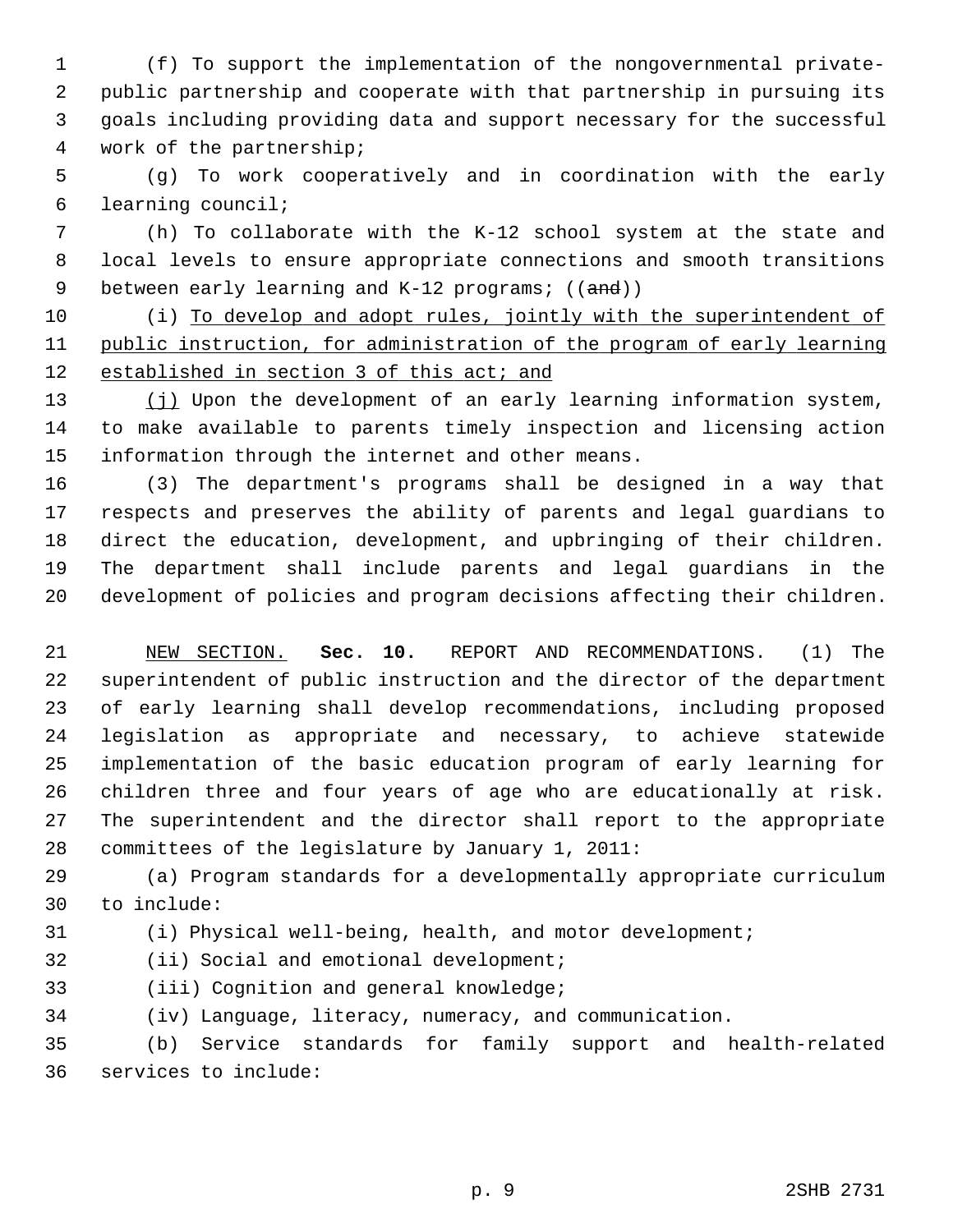1 (f) To support the implementation of the nongovernmental private- 2 public partnership and cooperate with that partnership in pursuing its 3 goals including providing data and support necessary for the successful 4 work of the partnership;

 5 (g) To work cooperatively and in coordination with the early 6 learning council;

 7 (h) To collaborate with the K-12 school system at the state and 8 local levels to ensure appropriate connections and smooth transitions 9 between early learning and  $K-12$  programs;  $((and))$ 

10 (i) To develop and adopt rules, jointly with the superintendent of 11 public instruction, for administration of the program of early learning 12 established in section 3 of this act; and

13 (j) Upon the development of an early learning information system, 14 to make available to parents timely inspection and licensing action 15 information through the internet and other means.

16 (3) The department's programs shall be designed in a way that 17 respects and preserves the ability of parents and legal guardians to 18 direct the education, development, and upbringing of their children. 19 The department shall include parents and legal guardians in the 20 development of policies and program decisions affecting their children.

21 NEW SECTION. **Sec. 10.** REPORT AND RECOMMENDATIONS. (1) The 22 superintendent of public instruction and the director of the department 23 of early learning shall develop recommendations, including proposed 24 legislation as appropriate and necessary, to achieve statewide 25 implementation of the basic education program of early learning for 26 children three and four years of age who are educationally at risk. 27 The superintendent and the director shall report to the appropriate 28 committees of the legislature by January 1, 2011:

29 (a) Program standards for a developmentally appropriate curriculum 30 to include:

31 (i) Physical well-being, health, and motor development;

32 (ii) Social and emotional development;

33 (iii) Cognition and general knowledge;

34 (iv) Language, literacy, numeracy, and communication.

35 (b) Service standards for family support and health-related 36 services to include: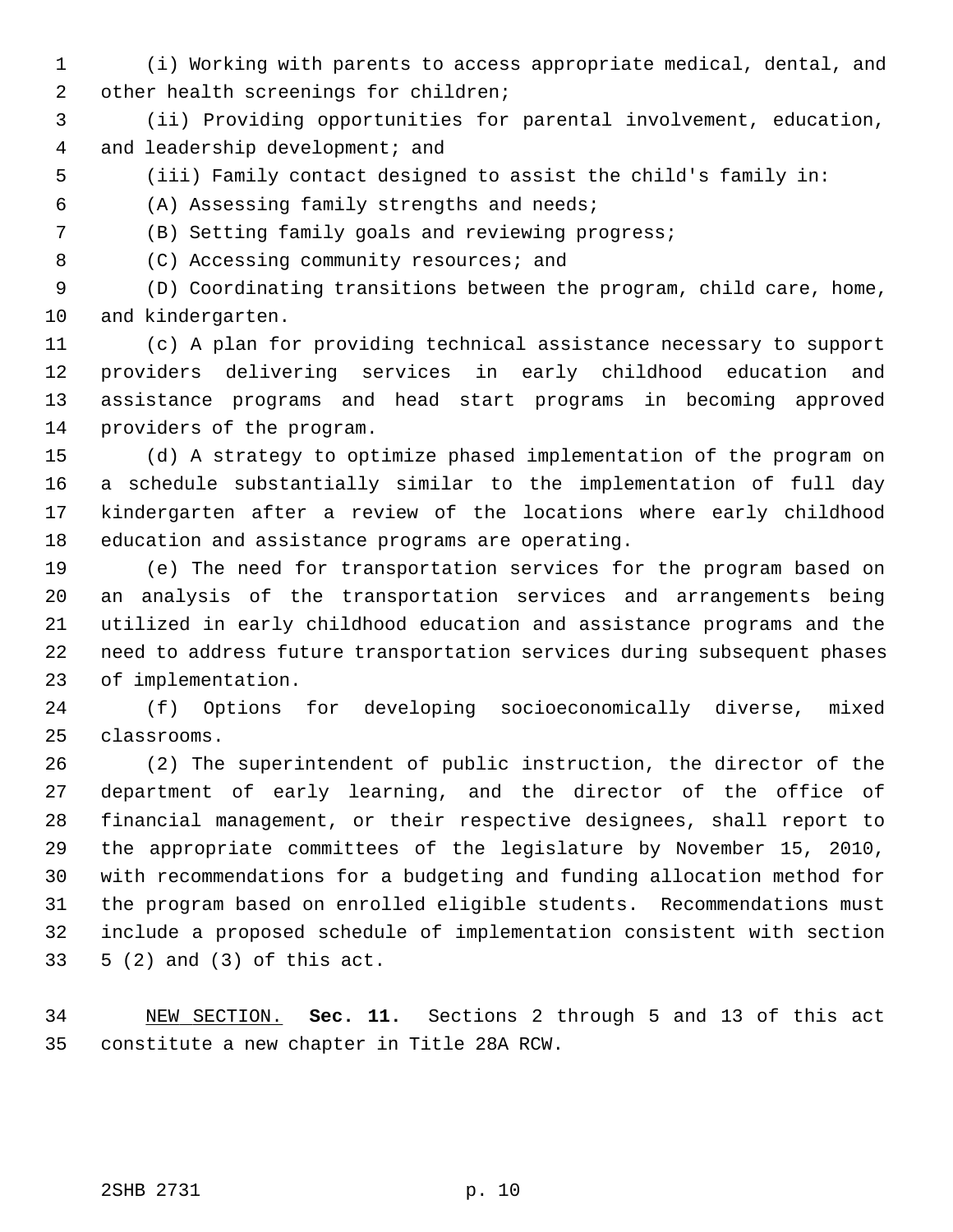1 (i) Working with parents to access appropriate medical, dental, and 2 other health screenings for children;

 3 (ii) Providing opportunities for parental involvement, education, 4 and leadership development; and

5 (iii) Family contact designed to assist the child's family in:

6 (A) Assessing family strengths and needs;

7 (B) Setting family goals and reviewing progress;

8 (C) Accessing community resources; and

 9 (D) Coordinating transitions between the program, child care, home, 10 and kindergarten.

11 (c) A plan for providing technical assistance necessary to support 12 providers delivering services in early childhood education and 13 assistance programs and head start programs in becoming approved 14 providers of the program.

15 (d) A strategy to optimize phased implementation of the program on 16 a schedule substantially similar to the implementation of full day 17 kindergarten after a review of the locations where early childhood 18 education and assistance programs are operating.

19 (e) The need for transportation services for the program based on 20 an analysis of the transportation services and arrangements being 21 utilized in early childhood education and assistance programs and the 22 need to address future transportation services during subsequent phases 23 of implementation.

24 (f) Options for developing socioeconomically diverse, mixed 25 classrooms.

26 (2) The superintendent of public instruction, the director of the 27 department of early learning, and the director of the office of 28 financial management, or their respective designees, shall report to 29 the appropriate committees of the legislature by November 15, 2010, 30 with recommendations for a budgeting and funding allocation method for 31 the program based on enrolled eligible students. Recommendations must 32 include a proposed schedule of implementation consistent with section 33 5 (2) and (3) of this act.

34 NEW SECTION. **Sec. 11.** Sections 2 through 5 and 13 of this act 35 constitute a new chapter in Title 28A RCW.